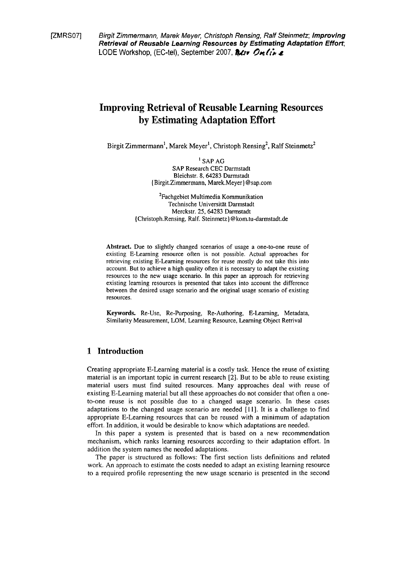IZMRS071 Birgit Zimmermann, Marek Meyer, Christoph Rensing, Ralf Steinmetz; **Improving Retrieval of Reusable Learning Resources by Estimating Adaptation Effort;**  LODE Workshop, (EC-tel), September 2007, **@dv** Online

# **Improving Retrieval of Reusable Learning Resources by Estimating Adaptation Effort**

Birgit Zimmermann<sup>1</sup>, Marek Meyer<sup>1</sup>, Christoph Rensing<sup>2</sup>, Ralf Steinmetz<sup>2</sup>

' SAP AG SAP Research CEC Darmstadt Bleichstr. 8, **64283** Darmstadt (Birgit.Zimmermann, Marek.Meyer) @sap.com

<sup>2</sup>Fachgebiet Multimedia Kommunikation Technische Universität Darrnstadt Merckstr. **25, 64283** Darmstadt (Christoph.Rensing, Ralf. **Steinmetz)@kom.tu-darmstadt.de** 

**Abstract.** Due to slightly changed scenarios of usage a one-to-one reuse of existing E-Leaming resource often is not possible. Actual approaches for retrieving existing E-Learning resources for reuse mostly do not take this into account. But to achieve a high quality often it is necessary to adapt the existing resources to the new usage scenario. In this paper an approach for retrieving existing learning resources is presented that takes into account the difference between the desired usage scenario and the original usage scenario of existing resources.

**Keywords.** Re-Use, Re-Purposing, Re-Authoring, E-Learning, Metadata, Similarity Measurement, LOM, Learning Resource, Learning Object Retrival

### **1 Introduction**

Creating appropriate E-Learning material is a costly task. Hence the reuse of existing material is an important topic in current research [2]. But to be able to reuse existing material users must find suited resources. Many approaches deal with reuse of existing E-Learning material but all these approaches do not consider that often a oneto-one reuse is not possible due to a changed usage scenario. In these cases adaptations to the changed usage scenario are needed [II]. It is a challenge to find appropriate E-Learning resources that can be reused with a minimum of adaptation effort. In addition, it would be desirable to know which adaptations are needed.

In this paper a system is presented that is based on a new recommendation mechanism, which ranks learning resources according to their adaptation effort. In addition the system names the needed adaptations.

The paper is structured as follows: The first section lists definitions and related work. An approach to estimate the costs needed to adapt an existing learning resource to a required profile representing the new usage scenario is presented in the second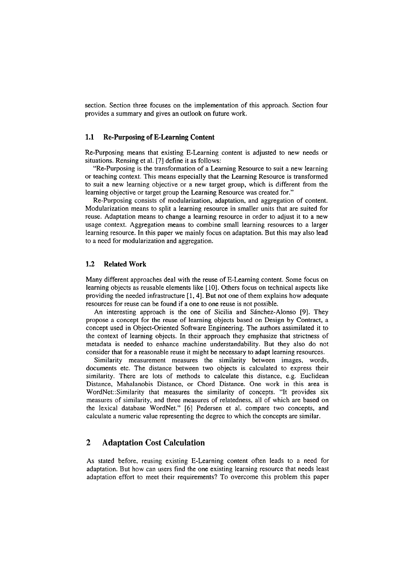section. Section three focuses on the implementation of this approach. Section four provides a Summary and gives an outlook on future work.

#### **1.1 Re-Purposing of E-Learning Content**

Re-Purposing means that existing E-Learning content is adjusted to new needs or situations. Rensing et al. [7] define it as follows:

"Re-Purposing is the transformation of a Learning Resource to suit a new learning or teaching context. This means especially that the Learning Resource is transformed to suit a new learning objective or a new target group, which is different from the learning objective or target group the Learning Resource was created for."

Re-Purposing consists of modularization, adaptation, and aggregation of content. Modularization means to split a learning resource in smaller units that are suited for reuse. Adaptation means to change a learning resource in order to adjust it to a new usage context. Aggregation means to combine small learning resources to a larger learning resource. In this paper we mainly focus on adaptation. But this may also lead to a need for modularization and aggregation.

#### **1.2 Related Work**

Many different approaches deal with the reuse of E-Learning content. Some focus on learning objects as reusable elements like [10]. Others focus on technical aspects like providing the needed infrastructure  $[1, 4]$ . But not one of them explains how adequate resources for reuse can be found if a one to one reuse is not possible.

An interesting approach is the one of Sicilia and Sanchez-Alonso [9]. They propose a concept for the reuse of learning objects based on Design by Contract, a concept used in Object-Oriented Software Engineering. The authors assimilated it to the context of learning objects. In their approach they emphasize that strictness of metadata is needed to enhance machine understandability. But they also do not consider that for a reasonable reuse it might be necessary to adapt learning resources.

Similarity measurement measures the similarity between images, words, documents etc. The distance between two objects is calculated to express their similarity. There are lots of methods to calculate this distance, e.g. Euclidean Distance, Mahalanobis Distance, or Chord Distance. One work in this area is WordNet::Similarity that measures the similarity of concepts. "It provides six measures of similarity, and three measures of relatedness, all of which are based on the lexical database WordNet." [6] Pedersen et al. compare two concepts, and calculate a numeric value representing the degree to which the concepts are similar.

### **2 Adaptation Cost Calculation**

As stated before, reusing existing E-Learning content often leads to a need for adaptation. But how can users find the one existing learning resource that needs least adaptation effort to meet their requirements? To overcome this problem this paper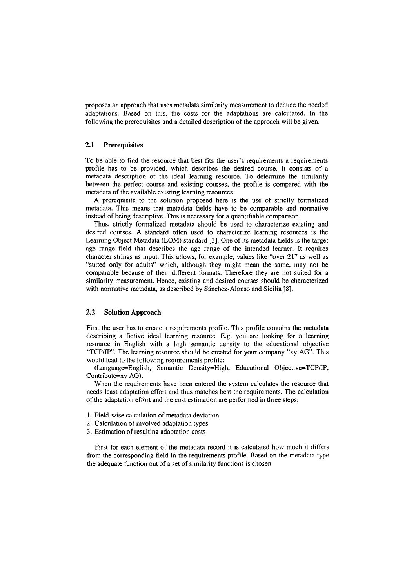proposes an approach that uses metadata similarity measurement to deduce the needed adaptations. Based on this, the costs for the adaptations are calculated. In the following the prerequisites and a detailed description of the approach will be given.

#### **2.1 Prerequisites**

To be able to find the resource that best fits the user's requirements a requirements profile has to be provided, which describes the desired course. It consists of a metadata description of the ideal learning resource. To determine the similarity between the perfect course and existing courses, the profile is compared with the metadata of the available existing learning resources.

**A** prerequisite to the solution proposed here is the use of strictly formalized metadata. This means that metadata fields have to be comparable and normative instead of being descriptive. This is necessary for a quantifiable comparison.

Thus, strictly formalized metadata should be used to characterize existing and desired courses. A standard often used to characterize learning resources is the Learning Object Metadata (LOM) standard **[3].** One of its metadata fields is the target age range field that describes the age range of the intended learner. It requires character strings as input. This allows, for example, values like "over 21" as well as "suited only for adults" which, although they might mean the Same, may not be comparable because of their different formats. Therefore they are not suited for a similarity measurement. Hence, existing and desired courses should be characterized with normative metadata, as described by Sánchez-Alonso and Sicilia [8].

#### **2.2 Solution Approach**

First the user has to create a requirements profile. This profile contains the metadata describing a fictive ideal learning resource. E.g. you are looking for a learning resource in English with a high semantic density to the educational objective 'TCPIIP. The learning resource should be created for your company "xy AG". This would lead to the following requirements profile:

(Language=English, Semantic Density=High, Educational Objective=TCP/IP, Contribute=xy AG).

When the requirements have been entered the system calculates the resource that needs least adaptation effort and thus matches best the requirements. The calculation of the adaptation effort and the cost estimation are performed in three steps:

- 1. Field-wise calculation of metadata deviation
- 2. Calculation of involved adaptation types
- 3. Estimation of resulting adaptation costs

First for each element of the metadata record it is calculated how much it differs from the corresponding field in the requirements profile. Based on the metadata type the adequate function out of a set of similarity functions is chosen.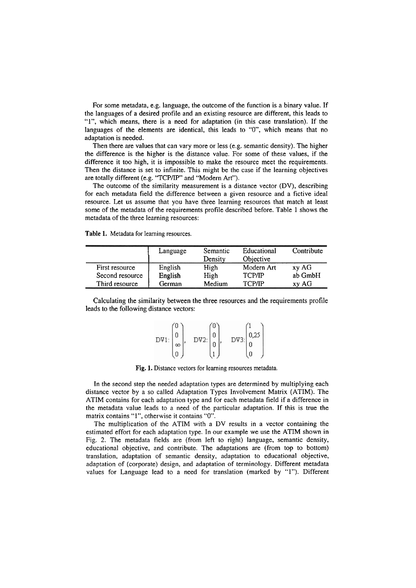For some metadata, e.g. language, the outcome of the function is a binary value. If the languages of a desired profile and an existing resource are different, this leads to **"I",** which means, there is a need for adaptation (in this case translation). If the languages of the elements are identical, this leads to "0", which means that no adaptation is needed.

Then there are values that can vary more or less (e.g. semantic density). The higher the difference is the higher is the distance value. For some of these values, if the difference it too high, it is impossible to make the resource meet the requirements. Then the distance is set to infinite. This might be the case if the learning objectives are totally different (e.g. "TCP/IP" and "Modern Art").

The outcome of the similarity measurement is a distance vector (DV), describing for each metadata field the difference between a given resource and a fictive ideal resource. Let us assume that you have three learning resources that match at least some of the metadata of the requirements profile described before. Table 1 shows the metadata of the three learning resources:

|  |  |  |  | Table 1. Metadata for learning resources. |
|--|--|--|--|-------------------------------------------|
|--|--|--|--|-------------------------------------------|

|                 | Language | Semantic<br>Density | Educational<br>Objective | Contribute |
|-----------------|----------|---------------------|--------------------------|------------|
| First resource  | English  | High                | Modern Art               | xy AG      |
| Second resource | English  | High                | <b>TCP/IP</b>            | ab GmbH    |
| Third resource  | German   | Medium              | <b>TCP/IP</b>            | xy AG      |

Calculating the similarity between the three resources and the requirements profile leads to the following distance vectors:

|                 |         |     | DV3 |
|-----------------|---------|-----|-----|
| DV <sub>1</sub> | 17<br>∞ | V2: | 3.1 |
|                 |         |     |     |

**Fig. 1.** Distance vectors for learning resources metadata.

In the second step the needed adaptation types are determined by multiplying each distance vector by a so called Adaptation Types Involvement Matrix (ATIM). The ATIM contains for each adaptation type and for each metadata field if a difference in the metadata value leads to a need of the particular adaptation. If this is true the matrix contains "1", otherwise it contains "0".

The multiplication of the ATIM with a DV results in a vector containing the estimated effort for each adaptation type. In our example we use the ATIM shown in Fig. 2. The metadata fields are (from left to right) language, semantic density, educational objective, and contribute. The adaptations are (from top to bottom) translation, adaptation of semantic density, adaptation to educational objective, adaptation of (corporate) design, and adaptation of terminology. Different metadata values for Language lead to a need for translation (marked by "1"). Different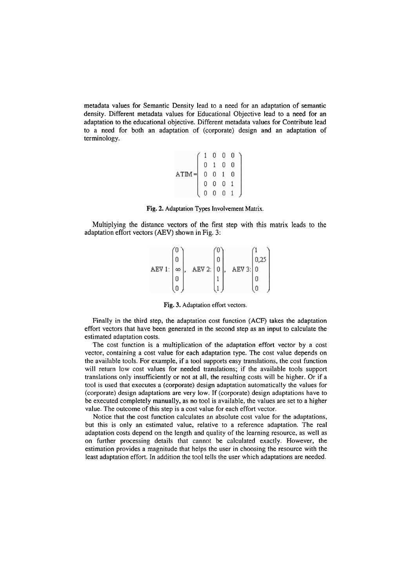metadata values for Semantic Density lead to a need for an adaptation of semantic density. Different metadata values for Educational Objective lead to a need for an adaptation to the educational objective. Different metadata values for Contribute lead to a need for both an adaptation of (corporate) design and an adaptation of terminology.

$$
\text{ATIM} = \left(\begin{array}{cccc} 1 & 0 & 0 & 0 \\ 0 & 1 & 0 & 0 \\ 0 & 0 & 1 & 0 \\ 0 & 0 & 0 & 1 \\ 0 & 0 & 0 & 1 \end{array}\right)
$$

Fig. 2. Adaptation Types Involvement Matrix.

Multiplying the distance vectors of the first step with this matrix leads to the adaptation effort vectors (AEV) shown in Fig. 3:

|        |   |        |  |        | 0,25 |  |
|--------|---|--------|--|--------|------|--|
| AEV 1: | 8 | AEV 2: |  | AEV 3: | n    |  |
|        |   |        |  |        |      |  |
|        |   |        |  |        |      |  |

**Fig. 3.** Adaptation effort vectors.

Finally in the third step, the adaptation cost function (ACF) takes the adaptation effort vectors that have been generated in the second step as an input to calculate the estimated adaptation costs.

The cost function is a multiplication of the adaptation effort vector by a cost vector, containing a cost value for each adaptation type. The cost value depends on the available tools. For example, if a tool Supports easy translations, the cost function will return low cost values for needed translations; if the available tools support translations only insufficiently or not at all, the resulting costs will be higher. Or if a tool is used that executes a (corporate) design adaptation automatically the values for (corporate) design adaptations are very low. If (corporate) design adaptations have to be executed completely manually, as no tool is available, the values are set to a higher value. The outcome of this step is a cost value for each effort vector.

Notice that the cost function calculates an absolute cost value for the adaptations, but this is only an estimated value, relative to a reference adaptation. The real adaptation costs depend on the length and quality of the learning resource, as well as on further processing details that cannot be calculated exactly. However, the estimation provides a magnitude that helps the user in choosing the resource with the least adaptation effort. In addition the tool tells the user which adaptations are needed.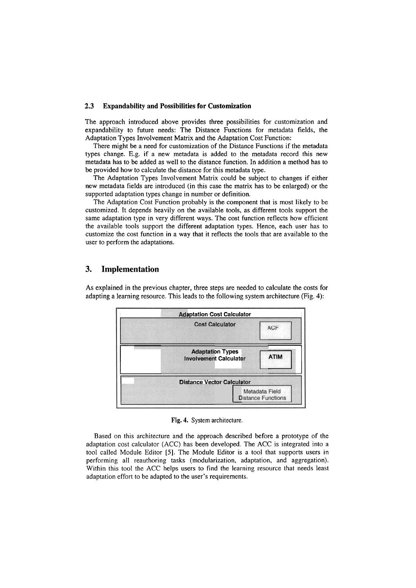#### **2.3 Expandability and Possibilities for Customization**

The approach introduced above provides three possibilities for customization and expandability to future needs: The Distance Functions for metadata fields, the Adaptation Types Involvement Matrix and the Adaptation Cost Function:

There might be a need for customization of the Distance Functions if the metadata types change. E.g. if a new metadata is added to the metadata record this new metadata has to be added as well to the distance function. In addition a method has to be provided how to calculate the distance for this metadata type.

The Adaptation Types Involvement Matrix could be subject to changes if either new metadata fields are introduced (in this case the matrix has to be enlarged) or the supported adaptation types change in number or definition.

The Adaptation Cost Function probably is the component that is most likely to be customized. It depends heavily on the available tools, as different tools support the same adaptation type in very different ways. The cost function reflects how efficient the available tools support the different adaptation types. Hence, each user has to customize the cost function in a way that it reflects the tools that are available to the user to perform the adaptations.

### **3. Implementation**

As explained in the previous chapter, three steps are needed to calculate the costs for adapting a learning resource. This leads to the following system architecture (Fig. 4):



**Fig.** 4. System architecture.

Based on this architecture and the approach described before a prototype of the adaptation cost calculator (ACC) has been developed. The ACC is integrated into a tool called Module Editor [5]. The Module Editor is a tool that supports users in performing all reauthoring tasks (modularization, adaptation, and aggregation). Within this tool the ACC helps users to find the learning resource that needs least adaptation effort to be adapted to the user's requirements.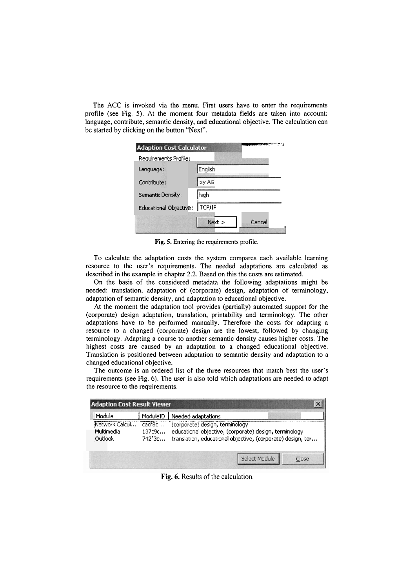The ACC is invoked via the menu. First users have to enter the requirements profile (see Fig. 5). At the moment four metadata fields are taken into account: language, contribute, semantic density, and educational objective. The calculation can be started by clicking on the button "Next". We to effer the requirements<br>
dields are taken into account:<br>
objective. The calculation can

| <b>Adaption Cost Calculator</b> |           |        |
|---------------------------------|-----------|--------|
| Requirements Profile:           |           |        |
| Language:                       | English   |        |
| Contribute:                     | xy AG     |        |
| Semantic Density:               | high      |        |
| Educational Objective:          | $T$ CP/IP |        |
|                                 | Next      | Cancel |

**Fig.** 5. Entering the requirements profile.

To calculate the adaptation costs the system compares each available learning resource to the user's requirements. The needed adaptations are calculated as described in the example in chapter 2.2. Based on this the costs are estimated.

On the basis of the considered metadata the following adaptations might be needed: translation, adaptation of (corporate) design, adaptation of terminology, adaptation of semantic density, and adaptation to educational objective.

At the moment the adaptation tool provides (partially) automated Support for the (corporate) design adaptation, translation, printability and terminology. The other adaptations have to be performed manually. Therefore the costs for adapting a resource to a changed (corporate) design are the lowest, followed by changing terminology. Adapting a Course to another semantic density causes higher costs. The highest costs are caused by an adaptation to a changed educational objective. Translation is positioned between adaptation to semantic density and adaptation to a changed educational objective.

The outcome is an ordered list of the three resources that match best the user's requirements (see Fig. 6). The user is also told which adaptations are needed to adapt the resource to the requirements.

| <b>Adaption Cost Result Viewer</b>      |                             |                                                                                                                                                          |       |
|-----------------------------------------|-----------------------------|----------------------------------------------------------------------------------------------------------------------------------------------------------|-------|
| Module                                  | ModuleID                    | Needed adaptations                                                                                                                                       |       |
| Network Calcul<br>Multimedia<br>Outlook | cacf8c"<br>137c9c<br>742f3e | (corporate) design, terminology<br>educational objective, (corporate) design, terminology<br>translation, educational objective, (corporate) design, ter |       |
|                                         |                             | Select Module                                                                                                                                            | Close |

**Fig. 6.** Results of the calculation.